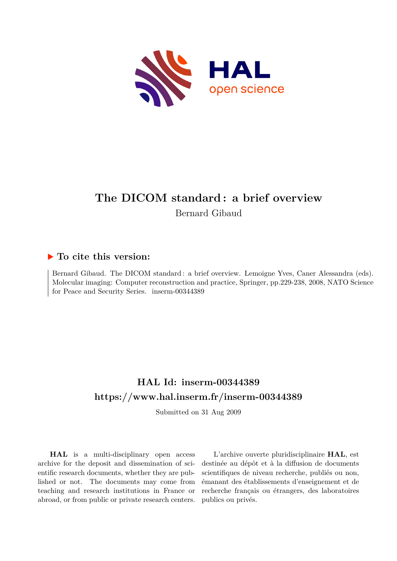

# **The DICOM standard : a brief overview** Bernard Gibaud

## **To cite this version:**

Bernard Gibaud. The DICOM standard: a brief overview. Lemoigne Yves, Caner Alessandra (eds). Molecular imaging: Computer reconstruction and practice, Springer, pp.229-238, 2008, NATO Science for Peace and Security Series. inserm-00344389

## **HAL Id: inserm-00344389 <https://www.hal.inserm.fr/inserm-00344389>**

Submitted on 31 Aug 2009

**HAL** is a multi-disciplinary open access archive for the deposit and dissemination of scientific research documents, whether they are published or not. The documents may come from teaching and research institutions in France or abroad, or from public or private research centers.

L'archive ouverte pluridisciplinaire **HAL**, est destinée au dépôt et à la diffusion de documents scientifiques de niveau recherche, publiés ou non, émanant des établissements d'enseignement et de recherche français ou étrangers, des laboratoires publics ou privés.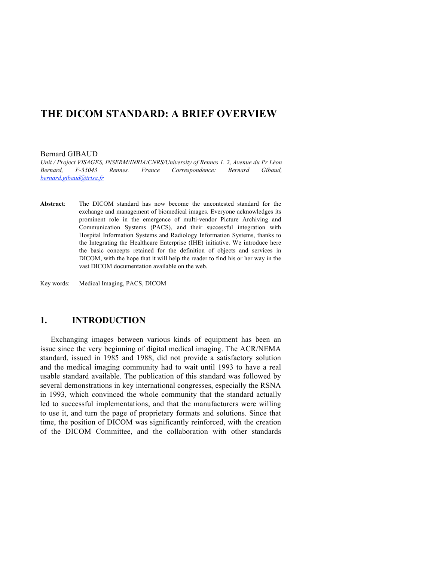### **THE DICOM STANDARD: A BRIEF OVERVIEW**

#### Bernard GIBAUD

*Unit / Project VISAGES, INSERM/INRIA/CNRS/University of Rennes 1. 2, Avenue du Pr Léon Bernard, F-35043 Rennes. France Correspondence: Bernard Gibaud, bernard.gibaud@irisa.fr*

**Abstract**: The DICOM standard has now become the uncontested standard for the exchange and management of biomedical images. Everyone acknowledges its prominent role in the emergence of multi-vendor Picture Archiving and Communication Systems (PACS), and their successful integration with Hospital Information Systems and Radiology Information Systems, thanks to the Integrating the Healthcare Enterprise (IHE) initiative. We introduce here the basic concepts retained for the definition of objects and services in DICOM, with the hope that it will help the reader to find his or her way in the vast DICOM documentation available on the web.

Key words: Medical Imaging, PACS, DICOM

#### **1. INTRODUCTION**

Exchanging images between various kinds of equipment has been an issue since the very beginning of digital medical imaging. The ACR/NEMA standard, issued in 1985 and 1988, did not provide a satisfactory solution and the medical imaging community had to wait until 1993 to have a real usable standard available. The publication of this standard was followed by several demonstrations in key international congresses, especially the RSNA in 1993, which convinced the whole community that the standard actually led to successful implementations, and that the manufacturers were willing to use it, and turn the page of proprietary formats and solutions. Since that time, the position of DICOM was significantly reinforced, with the creation of the DICOM Committee, and the collaboration with other standards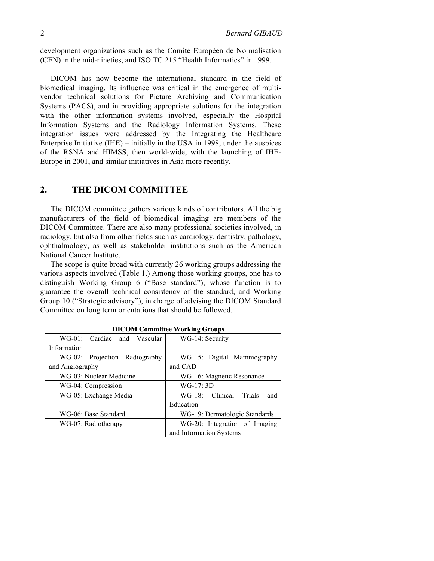development organizations such as the Comité Européen de Normalisation (CEN) in the mid-nineties, and ISO TC 215 "Health Informatics" in 1999.

DICOM has now become the international standard in the field of biomedical imaging. Its influence was critical in the emergence of multivendor technical solutions for Picture Archiving and Communication Systems (PACS), and in providing appropriate solutions for the integration with the other information systems involved, especially the Hospital Information Systems and the Radiology Information Systems. These integration issues were addressed by the Integrating the Healthcare Enterprise Initiative (IHE) – initially in the USA in 1998, under the auspices of the RSNA and HIMSS, then world-wide, with the launching of IHE-Europe in 2001, and similar initiatives in Asia more recently.

#### **2. THE DICOM COMMITTEE**

The DICOM committee gathers various kinds of contributors. All the big manufacturers of the field of biomedical imaging are members of the DICOM Committee. There are also many professional societies involved, in radiology, but also from other fields such as cardiology, dentistry, pathology, ophthalmology, as well as stakeholder institutions such as the American National Cancer Institute.

The scope is quite broad with currently 26 working groups addressing the various aspects involved (Table 1.) Among those working groups, one has to distinguish Working Group 6 ("Base standard"), whose function is to guarantee the overall technical consistency of the standard, and Working Group 10 ("Strategic advisory"), in charge of advising the DICOM Standard Committee on long term orientations that should be followed.

| <b>DICOM Committee Working Groups</b> |                                              |
|---------------------------------------|----------------------------------------------|
| WG-01: Cardiac and Vascular           | WG-14: Security                              |
| Information                           |                                              |
| WG-02: Projection Radiography         | WG-15: Digital Mammography                   |
| and Angiography                       | and CAD                                      |
| WG-03: Nuclear Medicine               | WG-16: Magnetic Resonance                    |
| WG-04: Compression                    | $WG-17:3D$                                   |
| WG-05: Exchange Media                 | <b>Clinical</b><br>$WG-18:$<br>Trials<br>and |
|                                       | Education                                    |
| WG-06: Base Standard                  | WG-19: Dermatologic Standards                |
| WG-07: Radiotherapy                   | WG-20: Integration of Imaging                |
|                                       | and Information Systems                      |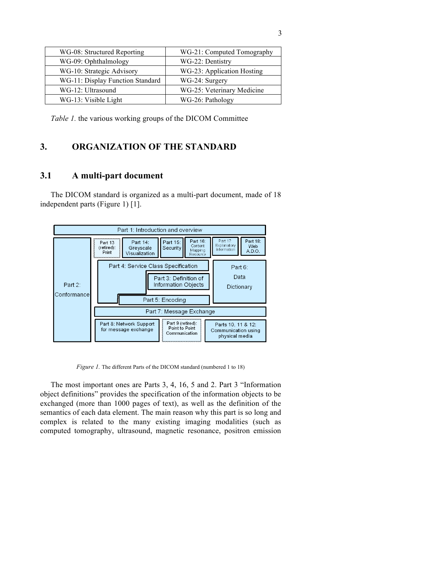| WG-08: Structured Reporting      | WG-21: Computed Tomography |
|----------------------------------|----------------------------|
| WG-09: Ophthalmology             | WG-22: Dentistry           |
| WG-10: Strategic Advisory        | WG-23: Application Hosting |
| WG-11: Display Function Standard | WG-24: Surgery             |
| WG-12: Ultrasound                | WG-25: Veterinary Medicine |
| WG-13: Visible Light             | WG-26: Pathology           |

*Table 1.* the various working groups of the DICOM Committee

#### **3. ORGANIZATION OF THE STANDARD**

#### **3.1 A multi-part document**

The DICOM standard is organized as a multi-part document, made of 18 independent parts (Figure 1) [1].



*Figure 1.* The different Parts of the DICOM standard (numbered 1 to 18)

The most important ones are Parts 3, 4, 16, 5 and 2. Part 3 "Information object definitions" provides the specification of the information objects to be exchanged (more than 1000 pages of text), as well as the definition of the semantics of each data element. The main reason why this part is so long and complex is related to the many existing imaging modalities (such as computed tomography, ultrasound, magnetic resonance, positron emission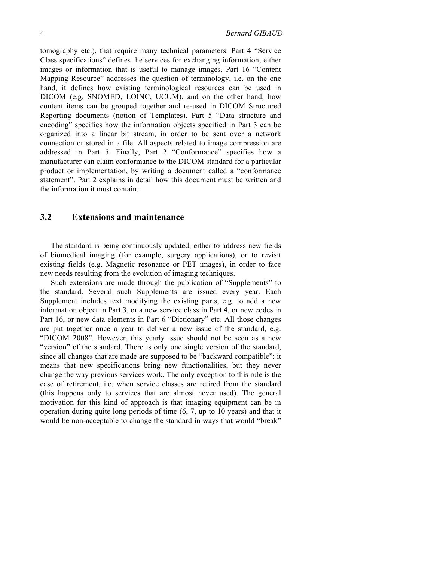tomography etc.), that require many technical parameters. Part 4 "Service Class specifications" defines the services for exchanging information, either images or information that is useful to manage images. Part 16 "Content Mapping Resource" addresses the question of terminology, i.e. on the one hand, it defines how existing terminological resources can be used in DICOM (e.g. SNOMED, LOINC, UCUM), and on the other hand, how content items can be grouped together and re-used in DICOM Structured Reporting documents (notion of Templates). Part 5 "Data structure and encoding" specifies how the information objects specified in Part 3 can be organized into a linear bit stream, in order to be sent over a network connection or stored in a file. All aspects related to image compression are addressed in Part 5. Finally, Part 2 "Conformance" specifies how a manufacturer can claim conformance to the DICOM standard for a particular product or implementation, by writing a document called a "conformance statement". Part 2 explains in detail how this document must be written and the information it must contain.

#### **3.2 Extensions and maintenance**

The standard is being continuously updated, either to address new fields of biomedical imaging (for example, surgery applications), or to revisit existing fields (e.g. Magnetic resonance or PET images), in order to face new needs resulting from the evolution of imaging techniques.

Such extensions are made through the publication of "Supplements" to the standard. Several such Supplements are issued every year. Each Supplement includes text modifying the existing parts, e.g. to add a new information object in Part 3, or a new service class in Part 4, or new codes in Part 16, or new data elements in Part 6 "Dictionary" etc. All those changes are put together once a year to deliver a new issue of the standard, e.g. "DICOM 2008". However, this yearly issue should not be seen as a new "version" of the standard. There is only one single version of the standard, since all changes that are made are supposed to be "backward compatible": it means that new specifications bring new functionalities, but they never change the way previous services work. The only exception to this rule is the case of retirement, i.e. when service classes are retired from the standard (this happens only to services that are almost never used). The general motivation for this kind of approach is that imaging equipment can be in operation during quite long periods of time (6, 7, up to 10 years) and that it would be non-acceptable to change the standard in ways that would "break"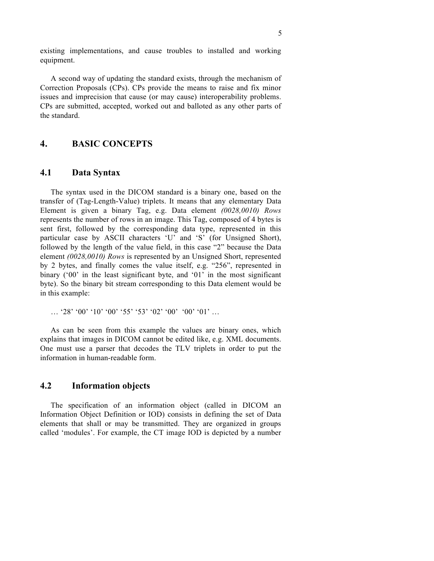existing implementations, and cause troubles to installed and working equipment.

A second way of updating the standard exists, through the mechanism of Correction Proposals (CPs). CPs provide the means to raise and fix minor issues and imprecision that cause (or may cause) interoperability problems. CPs are submitted, accepted, worked out and balloted as any other parts of the standard.

#### **4. BASIC CONCEPTS**

#### **4.1 Data Syntax**

The syntax used in the DICOM standard is a binary one, based on the transfer of (Tag-Length-Value) triplets. It means that any elementary Data Element is given a binary Tag, e.g. Data element *(0028,0010) Rows* represents the number of rows in an image. This Tag, composed of 4 bytes is sent first, followed by the corresponding data type, represented in this particular case by ASCII characters 'U' and 'S' (for Unsigned Short), followed by the length of the value field, in this case "2" because the Data element *(0028,0010) Rows* is represented by an Unsigned Short, represented by 2 bytes, and finally comes the value itself, e.g. "256", represented in binary ('00' in the least significant byte, and '01' in the most significant byte). So the binary bit stream corresponding to this Data element would be in this example:

… '28' '00' '10' '00' '55' '53' '02' '00' '00' '01' …

As can be seen from this example the values are binary ones, which explains that images in DICOM cannot be edited like, e.g. XML documents. One must use a parser that decodes the TLV triplets in order to put the information in human-readable form.

#### **4.2 Information objects**

The specification of an information object (called in DICOM an Information Object Definition or IOD) consists in defining the set of Data elements that shall or may be transmitted. They are organized in groups called 'modules'. For example, the CT image IOD is depicted by a number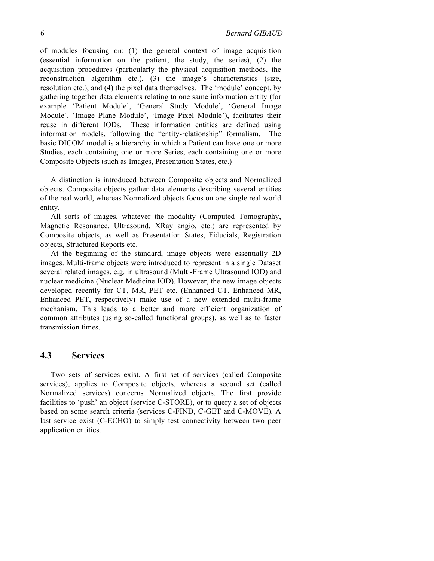of modules focusing on: (1) the general context of image acquisition (essential information on the patient, the study, the series), (2) the acquisition procedures (particularly the physical acquisition methods, the reconstruction algorithm etc.), (3) the image's characteristics (size, resolution etc.), and (4) the pixel data themselves. The 'module' concept, by gathering together data elements relating to one same information entity (for example 'Patient Module', 'General Study Module', 'General Image Module', 'Image Plane Module', 'Image Pixel Module'), facilitates their reuse in different IODs. These information entities are defined using information models, following the "entity-relationship" formalism. The basic DICOM model is a hierarchy in which a Patient can have one or more Studies, each containing one or more Series, each containing one or more Composite Objects (such as Images, Presentation States, etc.)

A distinction is introduced between Composite objects and Normalized objects. Composite objects gather data elements describing several entities of the real world, whereas Normalized objects focus on one single real world entity.

All sorts of images, whatever the modality (Computed Tomography, Magnetic Resonance, Ultrasound, XRay angio, etc.) are represented by Composite objects, as well as Presentation States, Fiducials, Registration objects, Structured Reports etc.

At the beginning of the standard, image objects were essentially 2D images. Multi-frame objects were introduced to represent in a single Dataset several related images, e.g. in ultrasound (Multi-Frame Ultrasound IOD) and nuclear medicine (Nuclear Medicine IOD). However, the new image objects developed recently for CT, MR, PET etc. (Enhanced CT, Enhanced MR, Enhanced PET, respectively) make use of a new extended multi-frame mechanism. This leads to a better and more efficient organization of common attributes (using so-called functional groups), as well as to faster transmission times.

#### **4.3 Services**

Two sets of services exist. A first set of services (called Composite services), applies to Composite objects, whereas a second set (called Normalized services) concerns Normalized objects. The first provide facilities to 'push' an object (service C-STORE), or to query a set of objects based on some search criteria (services C-FIND, C-GET and C-MOVE). A last service exist (C-ECHO) to simply test connectivity between two peer application entities.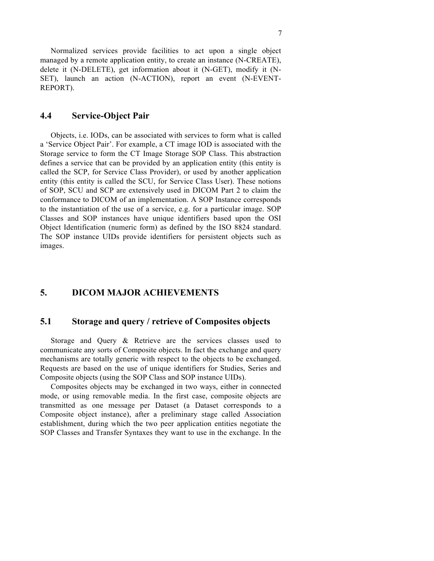Normalized services provide facilities to act upon a single object managed by a remote application entity, to create an instance (N-CREATE), delete it (N-DELETE), get information about it (N-GET), modify it (N-SET), launch an action (N-ACTION), report an event (N-EVENT-REPORT).

#### **4.4 Service-Object Pair**

Objects, i.e. IODs, can be associated with services to form what is called a 'Service Object Pair'. For example, a CT image IOD is associated with the Storage service to form the CT Image Storage SOP Class. This abstraction defines a service that can be provided by an application entity (this entity is called the SCP, for Service Class Provider), or used by another application entity (this entity is called the SCU, for Service Class User). These notions of SOP, SCU and SCP are extensively used in DICOM Part 2 to claim the conformance to DICOM of an implementation. A SOP Instance corresponds to the instantiation of the use of a service, e.g. for a particular image. SOP Classes and SOP instances have unique identifiers based upon the OSI Object Identification (numeric form) as defined by the ISO 8824 standard. The SOP instance UIDs provide identifiers for persistent objects such as images.

### **5. DICOM MAJOR ACHIEVEMENTS**

#### **5.1 Storage and query / retrieve of Composites objects**

Storage and Query & Retrieve are the services classes used to communicate any sorts of Composite objects. In fact the exchange and query mechanisms are totally generic with respect to the objects to be exchanged. Requests are based on the use of unique identifiers for Studies, Series and Composite objects (using the SOP Class and SOP instance UIDs).

Composites objects may be exchanged in two ways, either in connected mode, or using removable media. In the first case, composite objects are transmitted as one message per Dataset (a Dataset corresponds to a Composite object instance), after a preliminary stage called Association establishment, during which the two peer application entities negotiate the SOP Classes and Transfer Syntaxes they want to use in the exchange. In the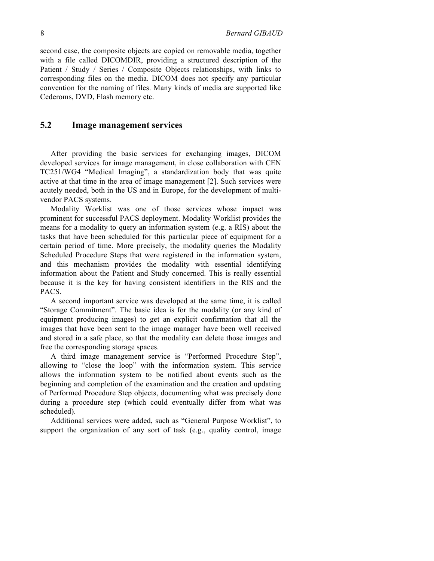second case, the composite objects are copied on removable media, together with a file called DICOMDIR, providing a structured description of the Patient / Study / Series / Composite Objects relationships, with links to corresponding files on the media. DICOM does not specify any particular convention for the naming of files. Many kinds of media are supported like Cederoms, DVD, Flash memory etc.

#### **5.2 Image management services**

After providing the basic services for exchanging images, DICOM developed services for image management, in close collaboration with CEN TC251/WG4 "Medical Imaging", a standardization body that was quite active at that time in the area of image management [2]. Such services were acutely needed, both in the US and in Europe, for the development of multivendor PACS systems.

Modality Worklist was one of those services whose impact was prominent for successful PACS deployment. Modality Worklist provides the means for a modality to query an information system (e.g. a RIS) about the tasks that have been scheduled for this particular piece of equipment for a certain period of time. More precisely, the modality queries the Modality Scheduled Procedure Steps that were registered in the information system, and this mechanism provides the modality with essential identifying information about the Patient and Study concerned. This is really essential because it is the key for having consistent identifiers in the RIS and the PACS.

A second important service was developed at the same time, it is called "Storage Commitment". The basic idea is for the modality (or any kind of equipment producing images) to get an explicit confirmation that all the images that have been sent to the image manager have been well received and stored in a safe place, so that the modality can delete those images and free the corresponding storage spaces.

A third image management service is "Performed Procedure Step", allowing to "close the loop" with the information system. This service allows the information system to be notified about events such as the beginning and completion of the examination and the creation and updating of Performed Procedure Step objects, documenting what was precisely done during a procedure step (which could eventually differ from what was scheduled).

Additional services were added, such as "General Purpose Worklist", to support the organization of any sort of task (e.g., quality control, image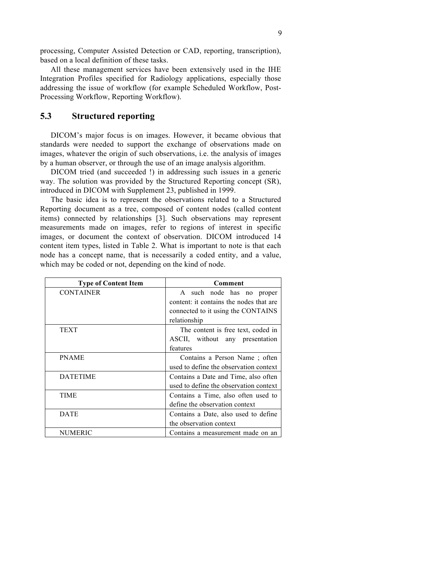processing, Computer Assisted Detection or CAD, reporting, transcription), based on a local definition of these tasks.

All these management services have been extensively used in the IHE Integration Profiles specified for Radiology applications, especially those addressing the issue of workflow (for example Scheduled Workflow, Post-Processing Workflow, Reporting Workflow).

#### **5.3 Structured reporting**

DICOM's major focus is on images. However, it became obvious that standards were needed to support the exchange of observations made on images, whatever the origin of such observations, i.e. the analysis of images by a human observer, or through the use of an image analysis algorithm.

DICOM tried (and succeeded !) in addressing such issues in a generic way. The solution was provided by the Structured Reporting concept (SR), introduced in DICOM with Supplement 23, published in 1999.

The basic idea is to represent the observations related to a Structured Reporting document as a tree, composed of content nodes (called content items) connected by relationships [3]. Such observations may represent measurements made on images, refer to regions of interest in specific images, or document the context of observation. DICOM introduced 14 content item types, listed in Table 2. What is important to note is that each node has a concept name, that is necessarily a coded entity, and a value, which may be coded or not, depending on the kind of node.

| <b>Type of Content Item</b> | Comment                                 |
|-----------------------------|-----------------------------------------|
| <b>CONTAINER</b>            | A such node has no proper               |
|                             | content: it contains the nodes that are |
|                             | connected to it using the CONTAINS      |
|                             | relationship                            |
| <b>TEXT</b>                 | The content is free text, coded in      |
|                             | ASCII, without any presentation         |
|                             | features                                |
| <b>PNAME</b>                | Contains a Person Name; often           |
|                             | used to define the observation context  |
| <b>DATETIME</b>             | Contains a Date and Time, also often    |
|                             | used to define the observation context  |
| <b>TIME</b>                 | Contains a Time, also often used to     |
|                             | define the observation context          |
| <b>DATE</b>                 | Contains a Date, also used to define    |
|                             | the observation context                 |
| <b>NUMERIC</b>              | Contains a measurement made on an       |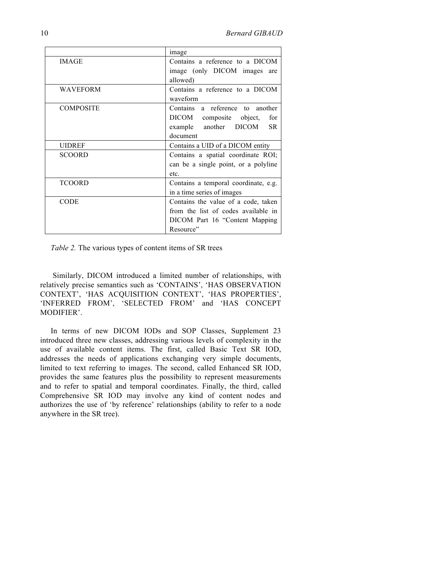|                  | image                                           |
|------------------|-------------------------------------------------|
| <b>IMAGE</b>     | Contains a reference to a DICOM                 |
|                  | image (only DICOM images are                    |
|                  | allowed)                                        |
| <b>WAVEFORM</b>  | Contains a reference to a DICOM                 |
|                  | waveform                                        |
| <b>COMPOSITE</b> | Contains a reference to another                 |
|                  | DICOM<br>composite<br>object,<br>for            |
|                  | <b>DICOM</b><br><b>SR</b><br>another<br>example |
|                  | document                                        |
| <b>UIDREF</b>    | Contains a UID of a DICOM entity                |
| <b>SCOORD</b>    | Contains a spatial coordinate ROI;              |
|                  | can be a single point, or a polyline            |
|                  | etc.                                            |
| <b>TCOORD</b>    | Contains a temporal coordinate, e.g.            |
|                  | in a time series of images                      |
| <b>CODE</b>      | Contains the value of a code, taken             |
|                  | from the list of codes available in             |
|                  | DICOM Part 16 "Content Mapping                  |
|                  | Resource"                                       |

*Table 2.* The various types of content items of SR trees

 Similarly, DICOM introduced a limited number of relationships, with relatively precise semantics such as 'CONTAINS', 'HAS OBSERVATION CONTEXT', 'HAS ACQUISITION CONTEXT', 'HAS PROPERTIES', 'INFERRED FROM', 'SELECTED FROM' and 'HAS CONCEPT MODIFIER'.

In terms of new DICOM IODs and SOP Classes, Supplement 23 introduced three new classes, addressing various levels of complexity in the use of available content items. The first, called Basic Text SR IOD, addresses the needs of applications exchanging very simple documents, limited to text referring to images. The second, called Enhanced SR IOD, provides the same features plus the possibility to represent measurements and to refer to spatial and temporal coordinates. Finally, the third, called Comprehensive SR IOD may involve any kind of content nodes and authorizes the use of 'by reference' relationships (ability to refer to a node anywhere in the SR tree).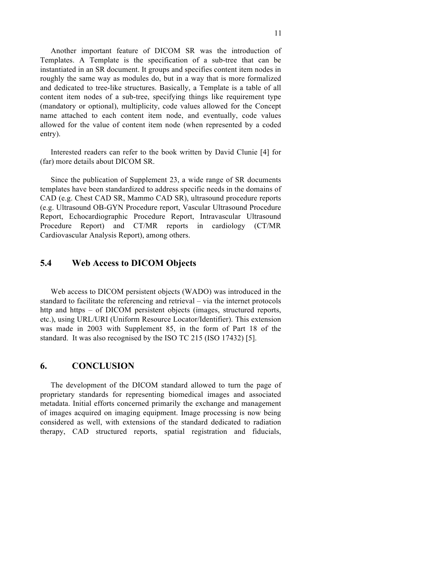Another important feature of DICOM SR was the introduction of Templates. A Template is the specification of a sub-tree that can be instantiated in an SR document. It groups and specifies content item nodes in roughly the same way as modules do, but in a way that is more formalized and dedicated to tree-like structures. Basically, a Template is a table of all content item nodes of a sub-tree, specifying things like requirement type (mandatory or optional), multiplicity, code values allowed for the Concept name attached to each content item node, and eventually, code values allowed for the value of content item node (when represented by a coded entry).

Interested readers can refer to the book written by David Clunie [4] for (far) more details about DICOM SR.

Since the publication of Supplement 23, a wide range of SR documents templates have been standardized to address specific needs in the domains of CAD (e.g. Chest CAD SR, Mammo CAD SR), ultrasound procedure reports (e.g. Ultrasound OB-GYN Procedure report, Vascular Ultrasound Procedure Report, Echocardiographic Procedure Report, Intravascular Ultrasound Procedure Report) and CT/MR reports in cardiology (CT/MR Cardiovascular Analysis Report), among others.

#### **5.4 Web Access to DICOM Objects**

Web access to DICOM persistent objects (WADO) was introduced in the standard to facilitate the referencing and retrieval – via the internet protocols http and https – of DICOM persistent objects (images, structured reports, etc.), using URL/URI (Uniform Resource Locator/Identifier). This extension was made in 2003 with Supplement 85, in the form of Part 18 of the standard. It was also recognised by the ISO TC 215 (ISO 17432) [5].

#### **6. CONCLUSION**

The development of the DICOM standard allowed to turn the page of proprietary standards for representing biomedical images and associated metadata. Initial efforts concerned primarily the exchange and management of images acquired on imaging equipment. Image processing is now being considered as well, with extensions of the standard dedicated to radiation therapy, CAD structured reports, spatial registration and fiducials,